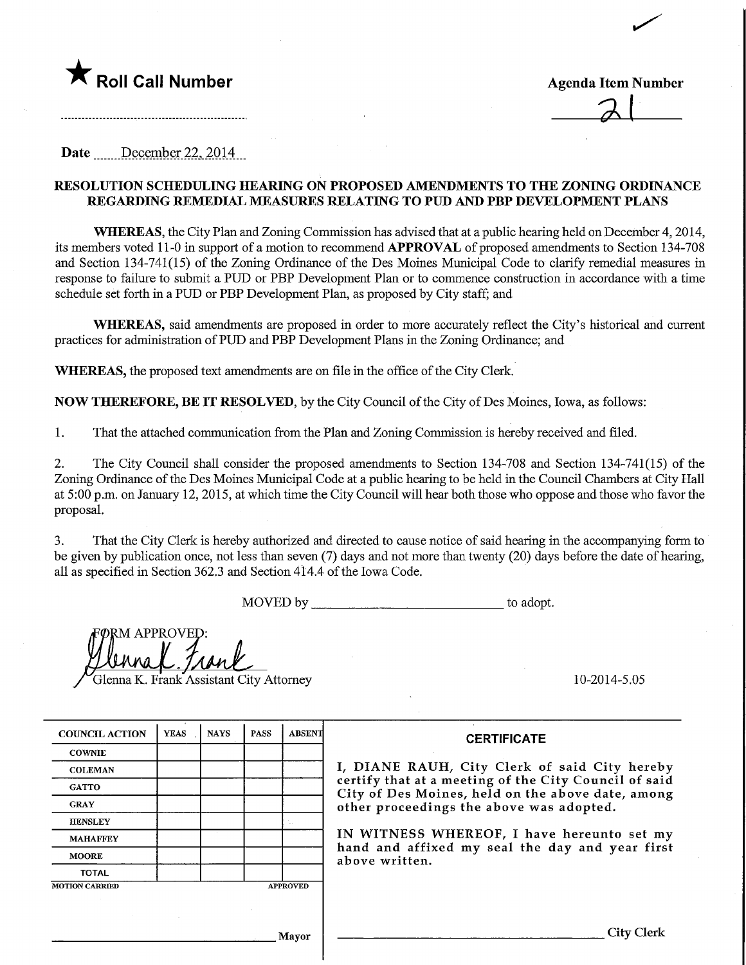

.....................................

 $\overline{\phantom{0}}$ 

Date December 22, 2014

### RESOLUTION SCHEDULmG HEARING ON PROPOSED AMENDMENTS TO THE ZONING ORDINANCE REGARDING REMEDIAL MEASURES RELATING TO PUD AND PBP DEVELOPMENT PLANS

WHEREAS, the City Plan and Zoning Commission has advised that at a public hearing held on December 4, 2014, its members voted 11-0 in support of a motion to recommend APPROVAL of proposed amendments to Section 134-708 and Section 134-741(15) of the Zoning Ordinance of the Des Moines Municipal Code to clarify remedial measures in response to failure to submit a PUD or PBP Development Plan or to commence construction in accordance with a time schedule set forth in a PUD or PBP Development Plan, as proposed by City staff; and

WHEREAS, said amendments are proposed in order to more accurately reflect the City's historical and current practices for administration ofPUD and PBP Development Plans in the Zoning Ordmance; and

WHEREAS, the proposed text amendments are on file in the office of the City Clerk.

NOW THEREFORE, BE IT RESOLVED, by the City Council of the City of Des Moines, Iowa, as follows:

1. That the attached communication from the Plan and Zoning Commission is hereby received and filed.

2. The City Council shall consider the proposed amendments to Section 134-708 and Section 134-741(15) of the Zoning Ordinance of the Des Moines Municipal Code at a public hearing to be held in the Council Chambers at City Hall at 5:00 p.m. on January 12,2015, at which time the City Council will hear both those who oppose and those who favor the proposal.

3. That the City Clerk is hereby authorized and directed to cause notice of said hearing in the accompanying form to be given by publication once, not less than seven (7) days and not more than twenty (20) days before the date of hearing, all as specified in Section 362.3 and Section 414.4 of the Iowa Code.

MOVED by to adopt.

UM APPROVEI

Glenna K. Frank Assistant City Attorney 10-2014-5.05

| <b>COUNCIL ACTION</b> | <b>YEAS</b> | <b>NAYS</b> | <b>PASS</b> | <b>ABSENT</b>   | <b>CERTIFICATE</b>                                                                                                                                                                                   |  |  |  |  |
|-----------------------|-------------|-------------|-------------|-----------------|------------------------------------------------------------------------------------------------------------------------------------------------------------------------------------------------------|--|--|--|--|
| <b>COWNIE</b>         |             |             |             |                 |                                                                                                                                                                                                      |  |  |  |  |
| <b>COLEMAN</b>        |             |             |             |                 | I, DIANE RAUH, City Clerk of said City hereby                                                                                                                                                        |  |  |  |  |
| <b>GATTO</b>          |             |             |             |                 | certify that at a meeting of the City Council of said<br>City of Des Moines, held on the above date, among<br>other proceedings the above was adopted.<br>IN WITNESS WHEREOF, I have hereunto set my |  |  |  |  |
| <b>GRAY</b>           |             |             |             |                 |                                                                                                                                                                                                      |  |  |  |  |
| <b>HENSLEY</b>        |             |             |             |                 |                                                                                                                                                                                                      |  |  |  |  |
| <b>MAHAFFEY</b>       |             |             |             |                 |                                                                                                                                                                                                      |  |  |  |  |
| <b>MOORE</b>          |             |             |             |                 | hand and affixed my seal the day and year first<br>above written.                                                                                                                                    |  |  |  |  |
| <b>TOTAL</b>          |             |             |             |                 |                                                                                                                                                                                                      |  |  |  |  |
| <b>MOTION CARRIED</b> |             |             |             | <b>APPROVED</b> |                                                                                                                                                                                                      |  |  |  |  |
|                       |             |             |             |                 |                                                                                                                                                                                                      |  |  |  |  |
|                       |             |             |             |                 |                                                                                                                                                                                                      |  |  |  |  |
|                       |             |             | Mayor       | City Clerk      |                                                                                                                                                                                                      |  |  |  |  |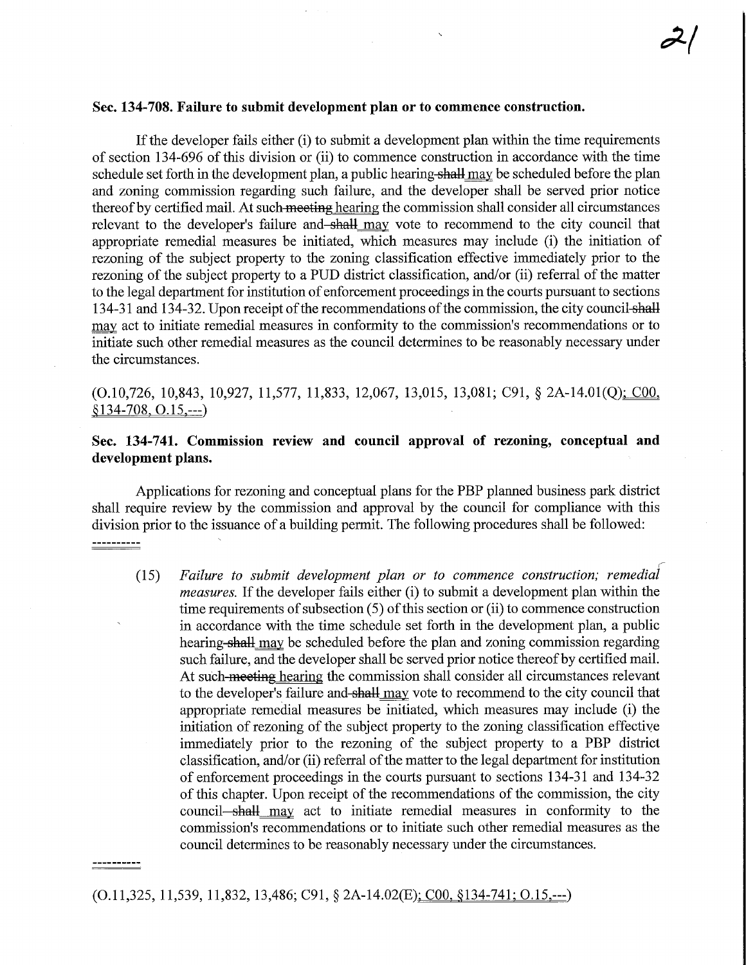#### Sec. 134-708. Failure to submit development plan or to commence construction.

If the developer fails either (i) to submit a development plan within the time requirements of section 134-696 of this division or (ii) to commence construction in accordance with the time schedule set forth in the development plan, a public hearing-shall may be scheduled before the plan and zoning commission regarding such failure, and the developer shall be served prior notice thereof by certified mail. At such meeting hearing the commission shall consider all circumstances relevant to the developer's failure and shall may vote to recommend to the city council that appropriate remedial measures be initiated, which measures may include (i) the initiation of rezoning of the subject property to the zoning classification effective immediately prior to the rezoning of the subject property to a PUD district classification, and/or (ii) referral of the matter to the legal department for institution of enforcement proceedings in the courts pursuant to sections 134-31 and 134-32. Upon receipt of the recommendations of the commission, the city council shall may act to initiate remedial measures in conformity to the commission's recommendations or to initiate such other remedial measures as the council determines to be reasonably necessary under the circumstances.

# (0.10,726, 10,843, 10,927, 11,577, 11,833, 12,067, 13,015, 13,081; C91, § 2A-14.01(Q)^COO, §134-708.0.15.—)

## Sec. 134-741. Commission review and council approval of rezoning, conceptual and development plans.

Applications for rezoning and conceptual plans for the PBP planned business park district shall require review by the commission and approval by the council for compliance with this division prior to the issuance of a building permit. The following procedures shall be followed: ----------

(15) Failure to submit development plan or to commence construction; measures. If the developer fails either (i) to submit a development plan within the time requirements of subsection (5) of this section or (ii) to commence construction in accordance with the time schedule set forth in the development plan, a public hearing-shall may be scheduled before the plan and zoning commission regarding such failure, and the developer shall be served prior notice thereof by certified mail. At such-meeting hearing the commission shall consider all circumstances relevant to the developer's failure and-shall may vote to recommend to the city council that appropriate remedial measures be initiated, which measures may include (i) the initiation of rezoning of the subject property to the zoning classification effective immediately prior to the rezoning of the subject property to a PBP district classification, and/or (ii) referral of the matter to the legal department for institution of enforcement proceedings in the courts pursuant to sections 134-31 and 134-32 of this chapter. Upon receipt of the recommendations of the commission, the city council—shall may act to initiate remedial measures in conformity to the commission's recommendations or to initiate such other remedial measures as the council determines to be reasonably necessary under the circumstances.

(0.11,325, 11,539, 11,832, 13,486; C91, § 2A-14.02(E): COO. §134-741: 0.15.—)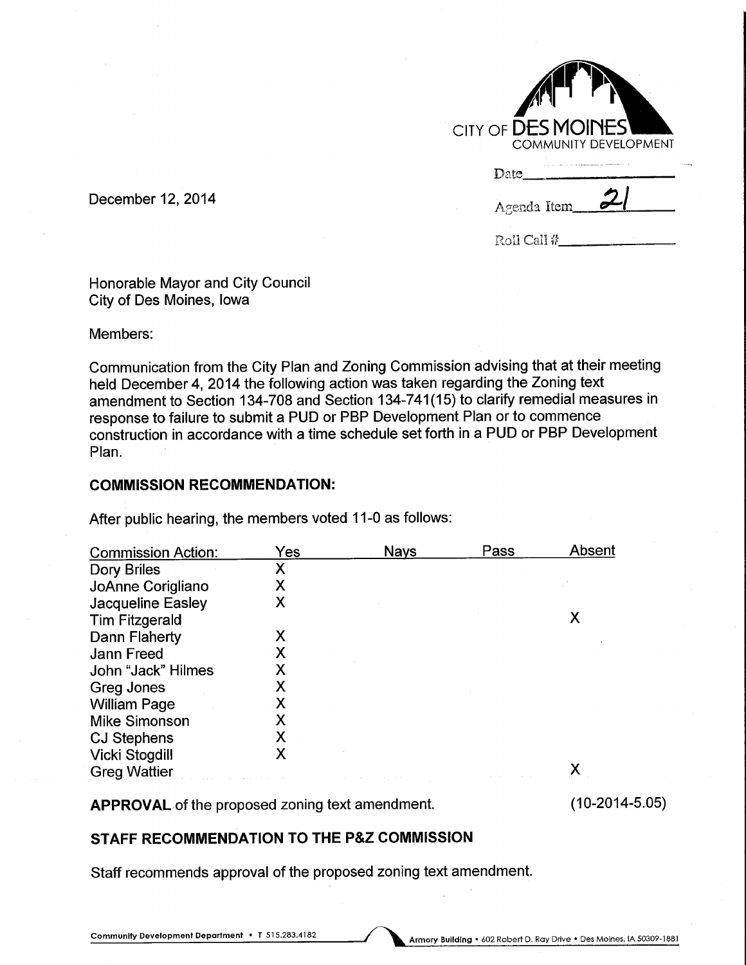| CITY OF $\overline{\sf DESMOINES}^{\sf T}$<br><b>COMMUNITY DEVELOPMENT</b> |             |  |  |  |  |  |  |  |  |
|----------------------------------------------------------------------------|-------------|--|--|--|--|--|--|--|--|
|                                                                            | Date        |  |  |  |  |  |  |  |  |
|                                                                            | Agenda Item |  |  |  |  |  |  |  |  |
|                                                                            | Roll Call # |  |  |  |  |  |  |  |  |

December 12, 2014

Honorable Mayor and City Council City of Des Moines, Iowa

Members:

Communication from the City Plan and Zoning Commission advising that at their meeting held December 4, 2014 the following action was taken regarding the Zoning text amendment to Section 134-708 and Section 134-741(15) to clarify remedial measures in response to failure to submit a PUD or PBP Development Plan or to commence construction in accordance with a time schedule set forth in a PUD or PBP Development Plan.

## COMMISSION RECOMMENDATION:

After public hearing, the members voted 11-0 as follows:

| <b>Commission Action:</b> | Yes | <b>Nays</b> | Pass | Absent |
|---------------------------|-----|-------------|------|--------|
| Dory Briles               | Χ   |             |      |        |
| JoAnne Corigliano         | Χ   |             |      |        |
| <b>Jacqueline Easley</b>  | Χ   |             |      |        |
| <b>Tim Fitzgerald</b>     |     |             |      |        |
| Dann Flaherty             | Х   |             |      |        |
| Jann Freed                | Х   |             |      |        |
| John "Jack" Hilmes        | X   |             |      |        |
| <b>Greg Jones</b>         | Χ   |             |      |        |
| <b>William Page</b>       | Χ   |             |      |        |
| <b>Mike Simonson</b>      |     |             |      |        |
| <b>CJ Stephens</b>        | Χ   |             |      |        |
| Vicki Stogdill            |     |             |      |        |
| <b>Greg Wattier</b>       |     |             |      |        |

APPROVAL of the proposed zoning text amendment.

(10-2014-5.05)

# STAFF RECOMMENDATION TO THE P&Z COMMISSION

Staff recommends approval of the proposed zoning text amendment.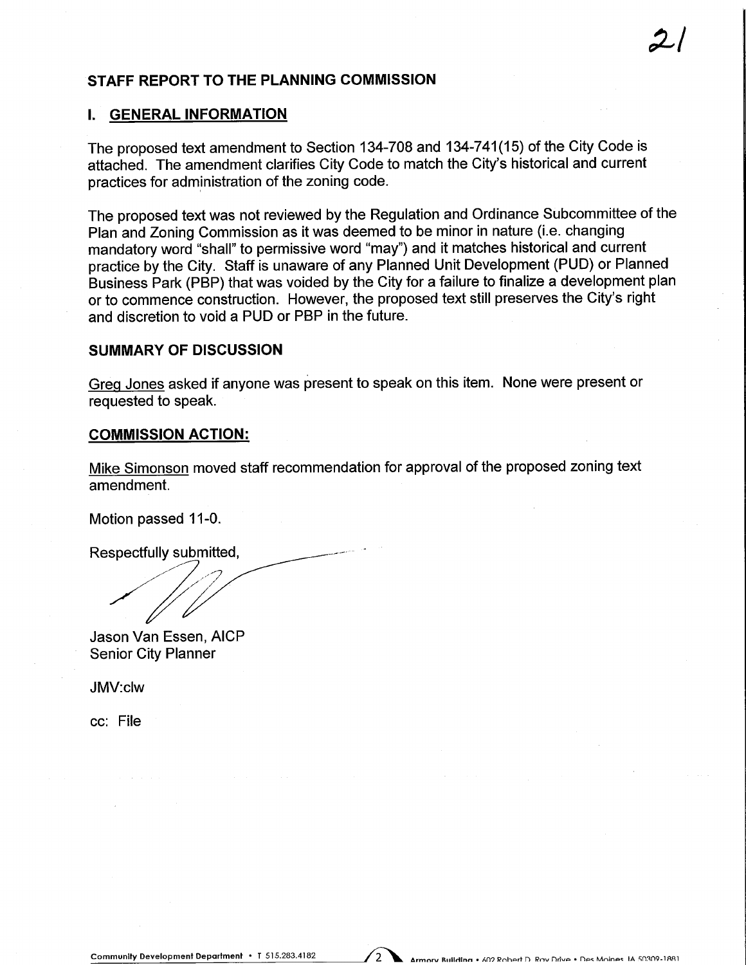## STAFF REPORT TO THE PLANNING COMMISSION

### I. GENERAL INFORMATION

The proposed text amendment to Section 134-708 and 134-741(15) of the City Code is attached. The amendment clarifies City Code to match the City's historical and current practices for administration of the zoning code.

The proposed text was not reviewed by the Regulation and Ordinance Subcommittee of the Plan and Zoning Commission as it was deemed to be minor in nature (i.e. changing mandatory word "shall" to permissive word "may") and it matches historical and current practice by the City. Staff is unaware of any Planned Unit Development (PUD) or Planned Business Park (PBP) that was voided by the City for a failure to finalize a development plan or to commence construction. However, the proposed text still preserves the City's right and discretion to void a PUD or PBP in the future.

## SUMMARY OF DISCUSSION

Grea Jones asked if anyone was present to speak on this item. None were present or requested to speak.

#### COMMISSION ACTION:

Mike Simonson moved staff recommendation for approval of the proposed zoning text amendment.

Motion passed 11-0.

Respectfully submitted,

Jason Van Essen, AICP Senior City Planner

JMV:clw

ec: File

 $2/$